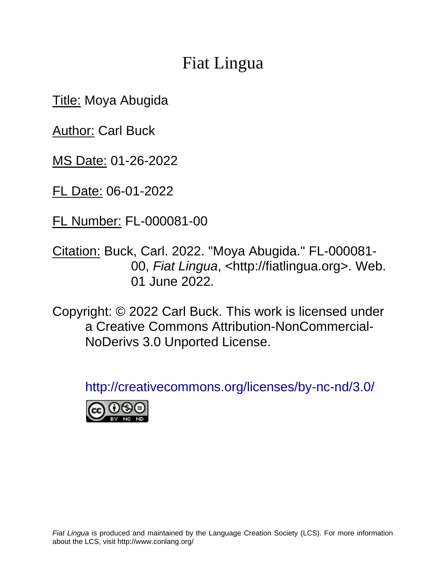# Fiat Lingua

**Title: Moya Abugida** 

**Author: Carl Buck** 

MS Date: 01-26-2022

FL Date: 06-01-2022

FL Number: FL-000081-00

Citation: Buck, Carl. 2022. "Moya Abugida." FL-000081- 00, *Fiat Lingua*, <http://fiatlingua.org>. Web. 01 June 2022.

Copyright: © 2022 Carl Buck. This work is licensed under a Creative Commons Attribution-NonCommercial-NoDerivs 3.0 Unported License.

<http://creativecommons.org/licenses/by-nc-nd/3.0/>

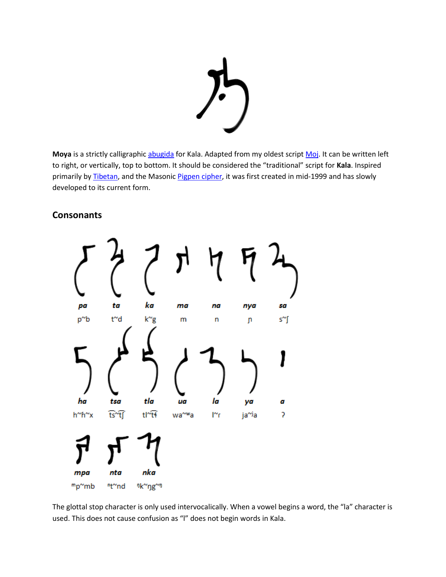

Moya is a strictly calligraphic [abugida](https://en.wikipedia.org/wiki/Abugida) for Kala. Adapted from my oldest scrip[t Moj.](https://www.frathwiki.com/Moj) It can be written left to right, or vertically, top to bottom. It should be considered the "traditional" script for **Kala**. Inspired primarily by [Tibetan,](https://en.wikipedia.org/wiki/Tibetan_script) and the Masonic [Pigpen cipher,](https://en.wikipedia.org/wiki/Pigpen_cipher) it was first created in mid-1999 and has slowly developed to its current form.

#### **Consonants**



The glottal stop character is only used intervocalically. When a vowel begins a word, the "la" character is used. This does not cause confusion as "l" does not begin words in Kala.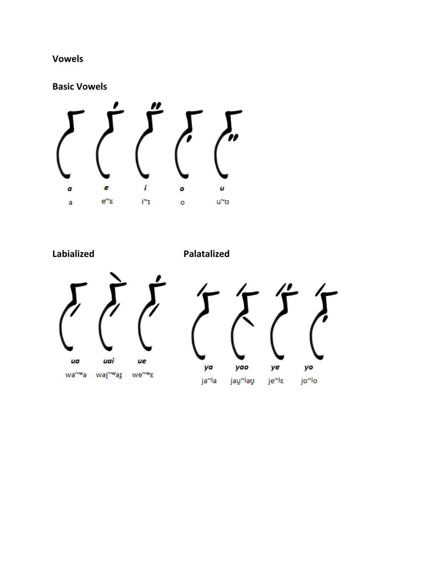## **Vowels**

**Basic Vowels**



**Labialized Palatalized**



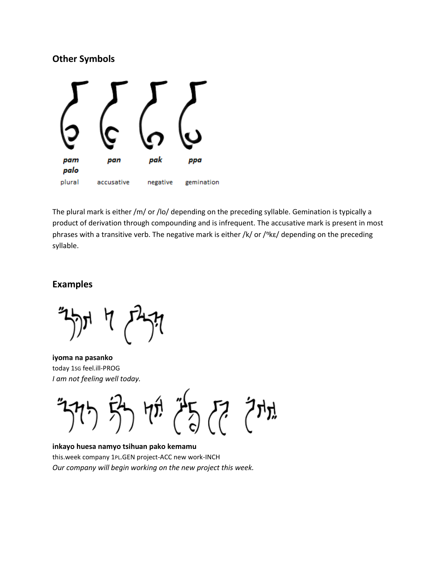#### **Other Symbols**



The plural mark is either /m/ or /lo/ depending on the preceding syllable. Gemination is typically a product of derivation through compounding and is infrequent. The accusative mark is present in most phrases with a transitive verb. The negative mark is either /k/ or / $n$ k $\varepsilon$ / depending on the preceding syllable.

#### **Examples**

**iyoma na pasanko** today 1SG feel.ill-PROG *I am not feeling well today.*



**inkayo huesa namyo tsihuan pako kemamu** this.week company 1PL.GEN project-ACC new work-INCH *Our company will begin working on the new project this week.*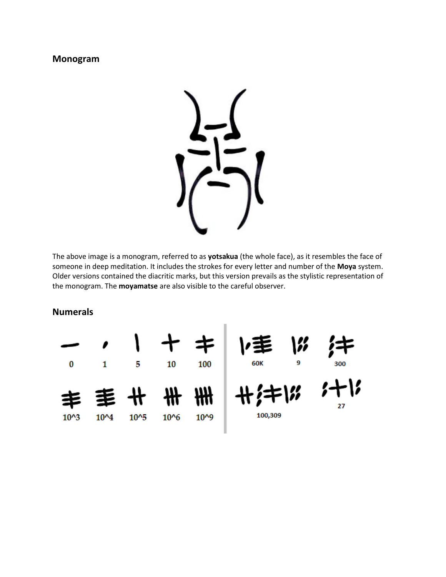#### **Monogram**



The above image is a monogram, referred to as **yotsakua** (the whole face), as it resembles the face of someone in deep meditation. It includes the strokes for every letter and number of the **Moya** system. Older versions contained the diacritic marks, but this version prevails as the stylistic representation of the monogram. The **moyamatse** are also visible to the careful observer.

**Numerals**

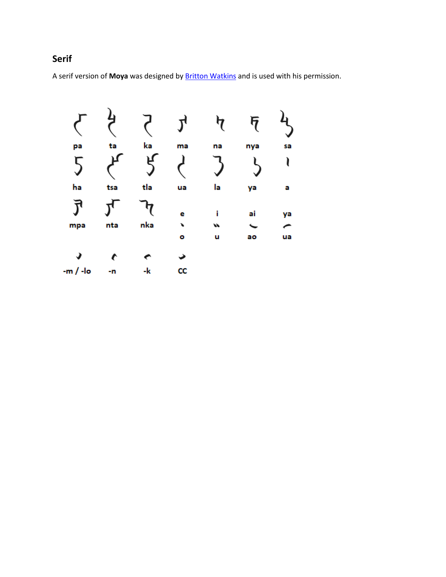## **Serif**

A serif version of **Moya** was designed by [Britton Watkins](http://dragonflypacific.com/about-us.html) and is used with his permission.

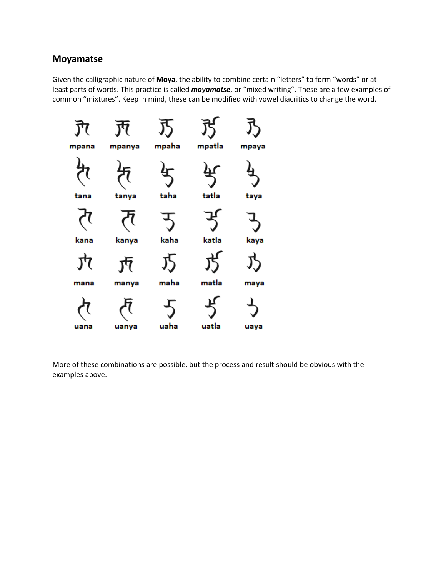#### **Moyamatse**

Given the calligraphic nature of **Moya**, the ability to combine certain "letters" to form "words" or at least parts of words. This practice is called *moyamatse*, or "mixed writing". These are a few examples of common "mixtures". Keep in mind, these can be modified with vowel diacritics to change the word.



More of these combinations are possible, but the process and result should be obvious with the examples above.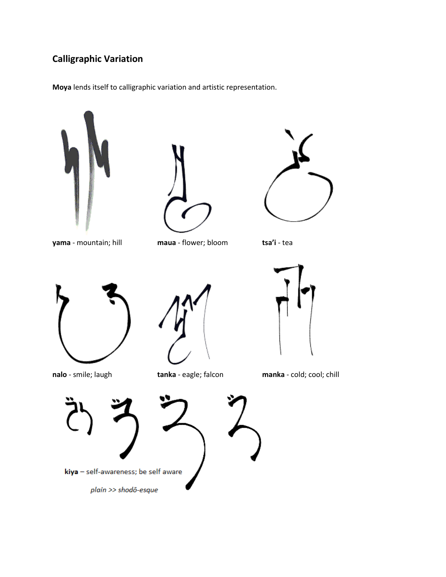## **Calligraphic Variation**

**Moya** lends itself to calligraphic variation and artistic representation.





**yama** - mountain; hill **maua** - flower; bloom **tsa'i** - tea









**nalo** - smile; laugh **tanka** - eagle; falcon **manka** - cold; cool; chill

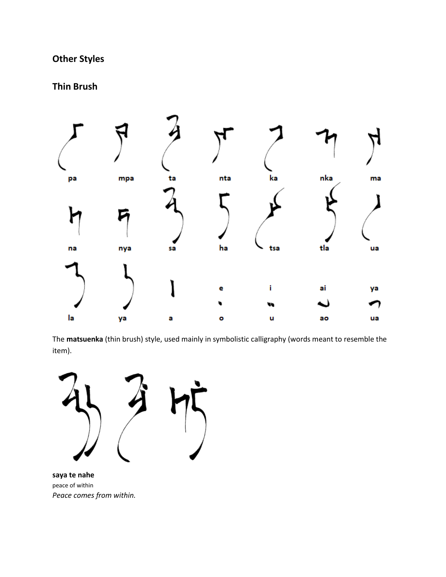## **Other Styles**

### **Thin Brush**



The **matsuenka** (thin brush) style, used mainly in symbolistic calligraphy (words meant to resemble the item).



**saya te nahe** peace of within *Peace comes from within.*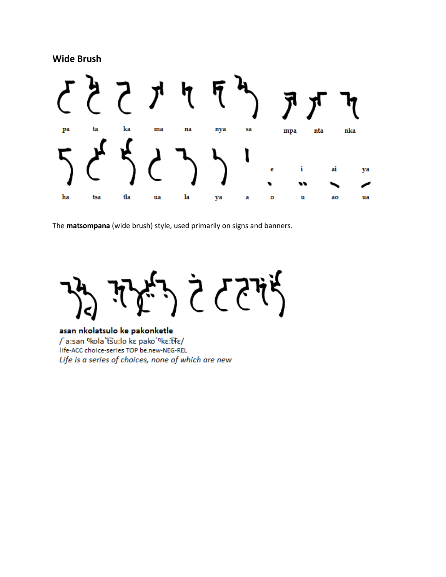**Wide Brush**



The **matsompana** (wide brush) style, used primarily on signs and banners.

 $335$ ᠮᢩᡝᢩᡭ

#### asan nkolatsulo ke pakonketle

/'a:san <sup>n</sup>kola 'tsu:lo ke pako'nke:tte/ life-ACC choice-series TOP be.new-NEG-REL Life is a series of choices, none of which are new